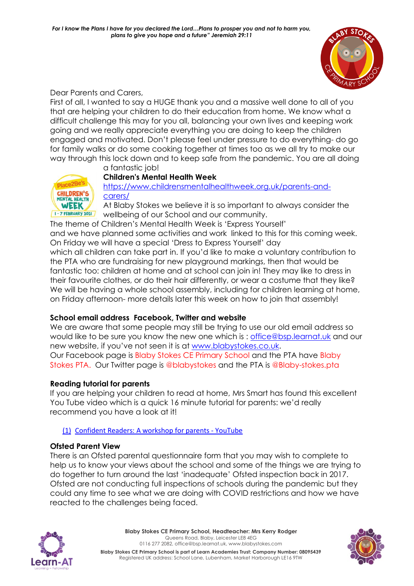

Dear Parents and Carers,

First of all, I wanted to say a HUGE thank you and a massive well done to all of you that are helping your children to do their education from home. We know what a difficult challenge this may for you all, balancing your own lives and keeping work going and we really appreciate everything you are doing to keep the children engaged and motivated. Don't please feel under pressure to do everything- do go for family walks or do some cooking together at times too as we all try to make our way through this lock down and to keep safe from the pandemic. You are all doing



# **Children's Mental Health Week**

a fantastic job!

[https://www.childrensmentalhealthweek.org.uk/parents-and](https://www.childrensmentalhealthweek.org.uk/parents-and-carers/)[carers/](https://www.childrensmentalhealthweek.org.uk/parents-and-carers/)

At Blaby Stokes we believe it is so important to always consider the wellbeing of our School and our community.

The theme of Children's Mental Health Week is 'Express Yourself'

and we have planned some activities and work linked to this for this coming week. On Friday we will have a special 'Dress to Express Yourself' day

which all children can take part in. If you'd like to make a voluntary contribution to the PTA who are fundraising for new playground markings, then that would be fantastic too: children at home and at school can join in! They may like to dress in their favourite clothes, or do their hair differently, or wear a costume that they like? We will be having a whole school assembly, including for children learning at home, on Friday afternoon- more details later this week on how to join that assembly!

# **School email address Facebook, Twitter and website**

We are aware that some people may still be trying to use our old email address so would like to be sure you know the new one which is : [office@bsp.learnat.uk](mailto:office@bsp.learnat.uk) and our new website, if you've not seen it is at [www.blabystokes.co.uk.](http://www.blabystokes.co.uk/) Our Facebook page is Blaby Stokes CE Primary School and the PTA have Blaby Stokes PTA. Our Twitter page is @blabystokes and the PTA is @Blaby-stokes.pta

# **Reading tutorial for parents**

If you are helping your children to read at home, Mrs Smart has found this excellent You Tube video which is a quick 16 minute tutorial for parents: we'd really recommend you have a look at it!

# (1) [Confident Readers: A workshop for parents -](https://www.youtube.com/watch?app=desktop&v=b3pgKTCfyeU&t=9s) YouTube

# **Ofsted Parent View**

There is an Ofsted parental questionnaire form that you may wish to complete to help us to know your views about the school and some of the things we are trying to do together to turn around the last 'inadequate' Ofsted inspection back in 2017. Ofsted are not conducting full inspections of schools during the pandemic but they could any time to see what we are doing with COVID restrictions and how we have reacted to the challenges being faced.